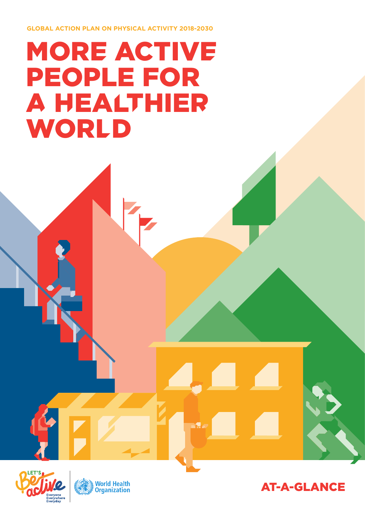**GLOBAL ACTION PLAN ON PHYSICAL ACTIVITY 2018-2030**

# MORE ACTIVE PEOPLE FOR A HEALTHIER WORLD





AT-A-GLANCE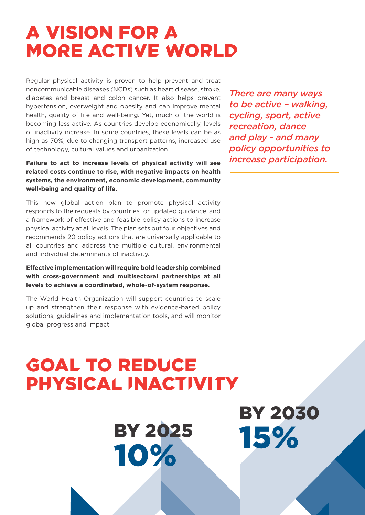## A VISION FOR A MORE ACTIVE WORLD

Regular physical activity is proven to help prevent and treat noncommunicable diseases (NCDs) such as heart disease, stroke, diabetes and breast and colon cancer. It also helps prevent hypertension, overweight and obesity and can improve mental health, quality of life and well-being. Yet, much of the world is becoming less active. As countries develop economically, levels of inactivity increase. In some countries, these levels can be as high as 70%, due to changing transport patterns, increased use of technology, cultural values and urbanization.

**Failure to act to increase levels of physical activity will see related costs continue to rise, with negative impacts on health systems, the environment, economic development, community well-being and quality of life.**

This new global action plan to promote physical activity responds to the requests by countries for updated guidance, and a framework of effective and feasible policy actions to increase physical activity at all levels. The plan sets out four objectives and recommends 20 policy actions that are universally applicable to all countries and address the multiple cultural, environmental and individual determinants of inactivity.

**Effective implementation will require bold leadership combined with cross-government and multisectoral partnerships at all levels to achieve a coordinated, whole-of-system response.**

The World Health Organization will support countries to scale up and strengthen their response with evidence-based policy solutions, guidelines and implementation tools, and will monitor global progress and impact.

*There are many ways to be active – walking, cycling, sport, active recreation, dance and play - and many policy opportunities to increase participation.*

## GOAL TO REDUCE PHYSICAL INACTIVITY

BY 2025 10%

BY 2030 15%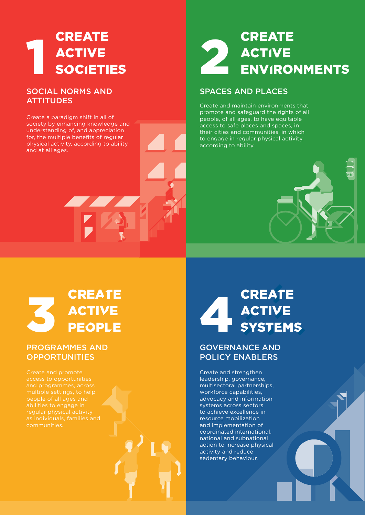### 1 **CREATE** ACTIVE **SOCIETIES**

#### SOCIAL NORMS AND **ATTITUDES**

Create a paradigm shift in all of society by enhancing knowledge and understanding of, and appreciation for, the multiple benefits of regular physical activity, according to ability and at all ages.

### 2 **CREATE ACTIVE** ENVIRONMENTS

#### SPACES AND PLACES

Create and maintain environments that promote and safeguard the rights of all people, of all ages, to have equitable access to safe places and spaces, in their cities and communities, in which to engage in regular physical activity, according to ability.



### 3 **CREATE** ACTIVE PEOPLE

#### PROGRAMMES AND **OPPORTUNITIES**

Create and promote access to opportunities

### 4 **CREATE** ACTIVE **SYSTEMS**

#### GOVERNANCE AND POLICY ENABLERS

Create and strengthen leadership, governance, multisectoral partnerships, workforce capabilities, advocacy and information systems across sectors to achieve excellence in resource mobilization and implementation of coordinated international, national and subnational action to increase physical activity and reduce sedentary behaviour.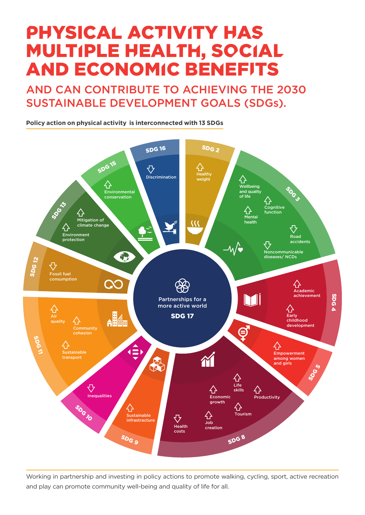## PHYSICAL ACTIVITY HAS MULTIPLE HEALTH, SOCIAL AND ECONOMIC BENEFITS

AND CAN CONTRIBUTE TO ACHIEVING THE 2030 SUSTAINABLE DEVELOPMENT GOALS (SDGs).

**Policy action on physical activity is interconnected with 13 SDGs**



Working in partnership and investing in policy actions to promote walking, cycling, sport, active recreation and play can promote community well-being and quality of life for all.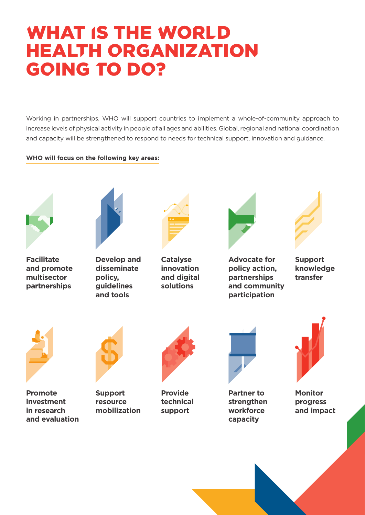## WHAT IS THE WORLD HEALTH ORGANIZATION GOING TO DO?

Working in partnerships, WHO will support countries to implement a whole-of-community approach to increase levels of physical activity in people of all ages and abilities. Global, regional and national coordination and capacity will be strengthened to respond to needs for technical support, innovation and guidance.

#### **WHO will focus on the following key areas:**



**Facilitate and promote multisector partnerships**



**Develop and disseminate policy, guidelines and tools**



**Catalyse innovation and digital solutions**



**Advocate for policy action, partnerships and community participation** 



**Support knowledge transfer**



**Promote investment in research and evaluation** 



**Support resource mobilization** 



**Provide technical support**



**Partner to strengthen workforce capacity**



**Monitor progress and impact**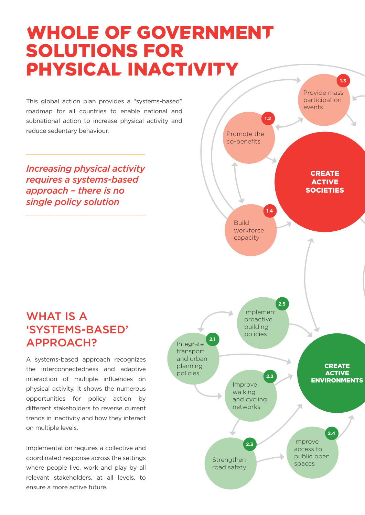## WHOLE OF GOVERNMENT SOLUTIONS FOR PHYSICAL INACTIVITY

This global action plan provides a "systems-based" roadmap for all countries to enable national and subnational action to increase physical activity and reduce sedentary behaviour.

*Increasing physical activity requires a systems-based approach – there is no single policy solution* 



### WHAT IS A 'SYSTEMS-BASED' APPROACH?

A systems-based approach recognizes the interconnectedness and adaptive interaction of multiple influences on physical activity. It shows the numerous opportunities for policy action by different stakeholders to reverse current trends in inactivity and how they interact on multiple levels.

Implementation requires a collective and coordinated response across the settings where people live, work and play by all relevant stakeholders, at all levels, to ensure a more active future.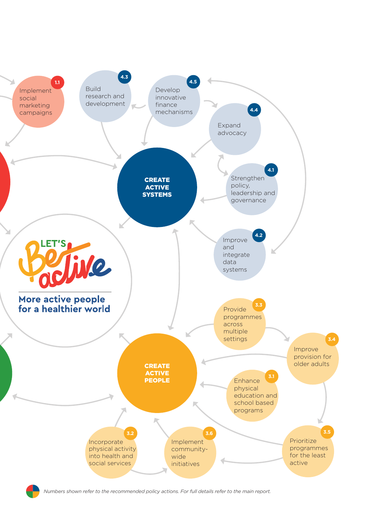

*Numbers shown refer to the recommended policy actions. For full details refer to the main report.*